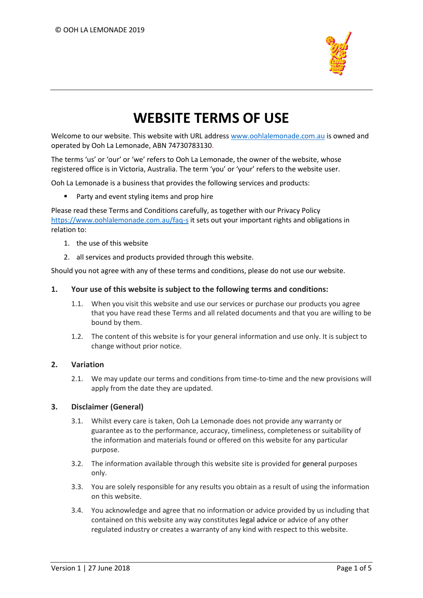

# **WEBSITE TERMS OF USE**

Welcome to our website. This website with URL address [www.oohlalemonade.com.au](http://www.oohlalemonade.com.au/) is owned and operated by Ooh La Lemonade, ABN 74730783130.

The terms 'us' or 'our' or 'we' refers to Ooh La Lemonade, the owner of the website, whose registered office is in Victoria, Australia. The term 'you' or 'your' refers to the website user.

Ooh La Lemonade is a business that provides the following services and products:

■ Party and event styling items and prop hire

Please read these Terms and Conditions carefully, as together with our Privacy Policy <https://www.oohlalemonade.com.au/faq-s> it sets out your important rights and obligations in relation to:

- 1. the use of this website
- 2. all services and products provided through this website.

Should you not agree with any of these terms and conditions, please do not use our website.

#### **1. Your use of this website is subject to the following terms and conditions:**

- 1.1. When you visit this website and use our services or purchase our products you agree that you have read these Terms and all related documents and that you are willing to be bound by them.
- 1.2. The content of this website is for your general information and use only. It is subject to change without prior notice.

## **2. Variation**

2.1. We may update our terms and conditions from time-to-time and the new provisions will apply from the date they are updated.

## **3. Disclaimer (General)**

- 3.1. Whilst every care is taken, Ooh La Lemonade does not provide any warranty or guarantee as to the performance, accuracy, timeliness, completeness or suitability of the information and materials found or offered on this website for any particular purpose.
- 3.2. The information available through this website site is provided for general purposes only.
- 3.3. You are solely responsible for any results you obtain as a result of using the information on this website.
- 3.4. You acknowledge and agree that no information or advice provided by us including that contained on this website any way constitutes legal advice or advice of any other regulated industry or creates a warranty of any kind with respect to this website.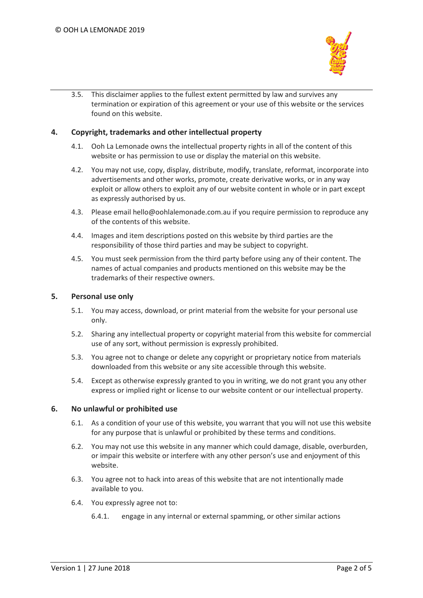

3.5. This disclaimer applies to the fullest extent permitted by law and survives any termination or expiration of this agreement or your use of this website or the services found on this website.

## **4. Copyright, trademarks and other intellectual property**

- 4.1. Ooh La Lemonade owns the intellectual property rights in all of the content of this website or has permission to use or display the material on this website.
- 4.2. You may not use, copy, display, distribute, modify, translate, reformat, incorporate into advertisements and other works, promote, create derivative works, or in any way exploit or allow others to exploit any of our website content in whole or in part except as expressly authorised by us.
- 4.3. Please email hello@oohlalemonade.com.au if you require permission to reproduce any of the contents of this website.
- 4.4. Images and item descriptions posted on this website by third parties are the responsibility of those third parties and may be subject to copyright.
- 4.5. You must seek permission from the third party before using any of their content. The names of actual companies and products mentioned on this website may be the trademarks of their respective owners.

## **5. Personal use only**

- 5.1. You may access, download, or print material from the website for your personal use only.
- 5.2. Sharing any intellectual property or copyright material from this website for commercial use of any sort, without permission is expressly prohibited.
- 5.3. You agree not to change or delete any copyright or proprietary notice from materials downloaded from this website or any site accessible through this website.
- 5.4. Except as otherwise expressly granted to you in writing, we do not grant you any other express or implied right or license to our website content or our intellectual property.

#### **6. No unlawful or prohibited use**

- 6.1. As a condition of your use of this website, you warrant that you will not use this website for any purpose that is unlawful or prohibited by these terms and conditions.
- 6.2. You may not use this website in any manner which could damage, disable, overburden, or impair this website or interfere with any other person's use and enjoyment of this website.
- 6.3. You agree not to hack into areas of this website that are not intentionally made available to you.
- 6.4. You expressly agree not to:
	- 6.4.1. engage in any internal or external spamming, or other similar actions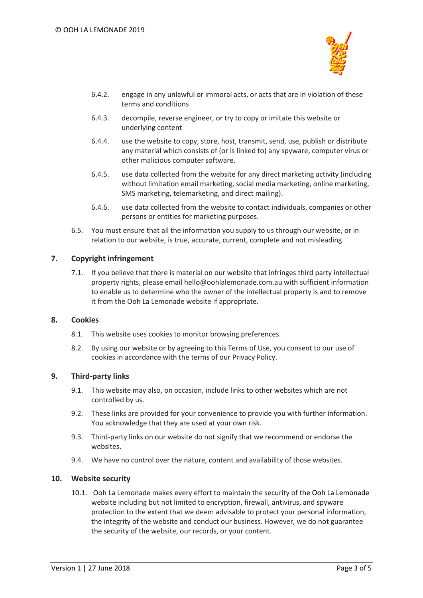

- 6.4.2. engage in any unlawful or immoral acts, or acts that are in violation of these terms and conditions
- 6.4.3. decompile, reverse engineer, or try to copy or imitate this website or underlying content
- 6.4.4. use the website to copy, store, host, transmit, send, use, publish or distribute any material which consists of (or is linked to) any spyware, computer virus or other malicious computer software.
- 6.4.5. use data collected from the website for any direct marketing activity (including without limitation email marketing, social media marketing, online marketing, SMS marketing, telemarketing, and direct mailing).
- 6.4.6. use data collected from the website to contact individuals, companies or other persons or entities for marketing purposes.
- 6.5. You must ensure that all the information you supply to us through our website, or in relation to our website, is true, accurate, current, complete and not misleading.

## **7. Copyright infringement**

7.1. If you believe that there is material on our website that infringes third party intellectual property rights, please email hello@oohlalemonade.com.au with sufficient information to enable us to determine who the owner of the intellectual property is and to remove it from the Ooh La Lemonade website if appropriate.

#### **8. Cookies**

- 8.1. This website uses cookies to monitor browsing preferences.
- 8.2. By using our website or by agreeing to this Terms of Use, you consent to our use of cookies in accordance with the terms of our Privacy Policy.

#### **9. Third-party links**

- 9.1. This website may also, on occasion, include links to other websites which are not controlled by us.
- 9.2. These links are provided for your convenience to provide you with further information. You acknowledge that they are used at your own risk.
- 9.3. Third-party links on our website do not signify that we recommend or endorse the websites.
- 9.4. We have no control over the nature, content and availability of those websites.

#### **10. Website security**

10.1. Ooh La Lemonade makes every effort to maintain the security of the Ooh La Lemonade website including but not limited to encryption, firewall, antivirus, and spyware protection to the extent that we deem advisable to protect your personal information, the integrity of the website and conduct our business. However, we do not guarantee the security of the website, our records, or your content.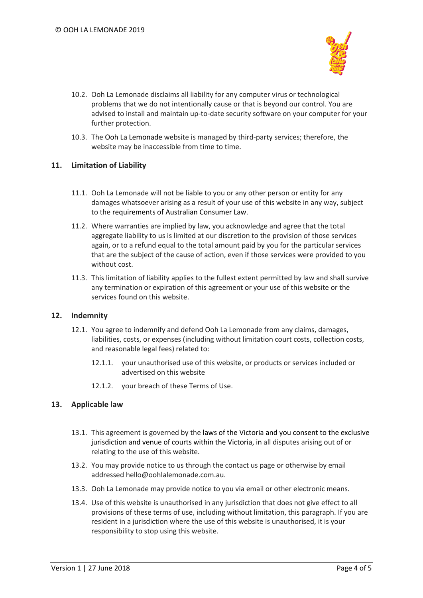

- 10.2. Ooh La Lemonade disclaims all liability for any computer virus or technological problems that we do not intentionally cause or that is beyond our control. You are advised to install and maintain up-to-date security software on your computer for your further protection.
- 10.3. The Ooh La Lemonade website is managed by third-party services; therefore, the website may be inaccessible from time to time.

## **11. Limitation of Liability**

- 11.1. Ooh La Lemonade will not be liable to you or any other person or entity for any damages whatsoever arising as a result of your use of this website in any way, subject to the requirements of Australian Consumer Law.
- 11.2. Where warranties are implied by law, you acknowledge and agree that the total aggregate liability to us is limited at our discretion to the provision of those services again, or to a refund equal to the total amount paid by you for the particular services that are the subject of the cause of action, even if those services were provided to you without cost.
- 11.3. This limitation of liability applies to the fullest extent permitted by law and shall survive any termination or expiration of this agreement or your use of this website or the services found on this website.

## **12. Indemnity**

- 12.1. You agree to indemnify and defend Ooh La Lemonade from any claims, damages, liabilities, costs, or expenses (including without limitation court costs, collection costs, and reasonable legal fees) related to:
	- 12.1.1. your unauthorised use of this website, or products or services included or advertised on this website
	- 12.1.2. your breach of these Terms of Use.

## **13. Applicable law**

- 13.1. This agreement is governed by the laws of the Victoria and you consent to the exclusive jurisdiction and venue of courts within the Victoria, in all disputes arising out of or relating to the use of this website.
- 13.2. You may provide notice to us through the contact us page or otherwise by email addressed hello@oohlalemonade.com.au.
- 13.3. Ooh La Lemonade may provide notice to you via email or other electronic means.
- 13.4. Use of this website is unauthorised in any jurisdiction that does not give effect to all provisions of these terms of use, including without limitation, this paragraph. If you are resident in a jurisdiction where the use of this website is unauthorised, it is your responsibility to stop using this website.